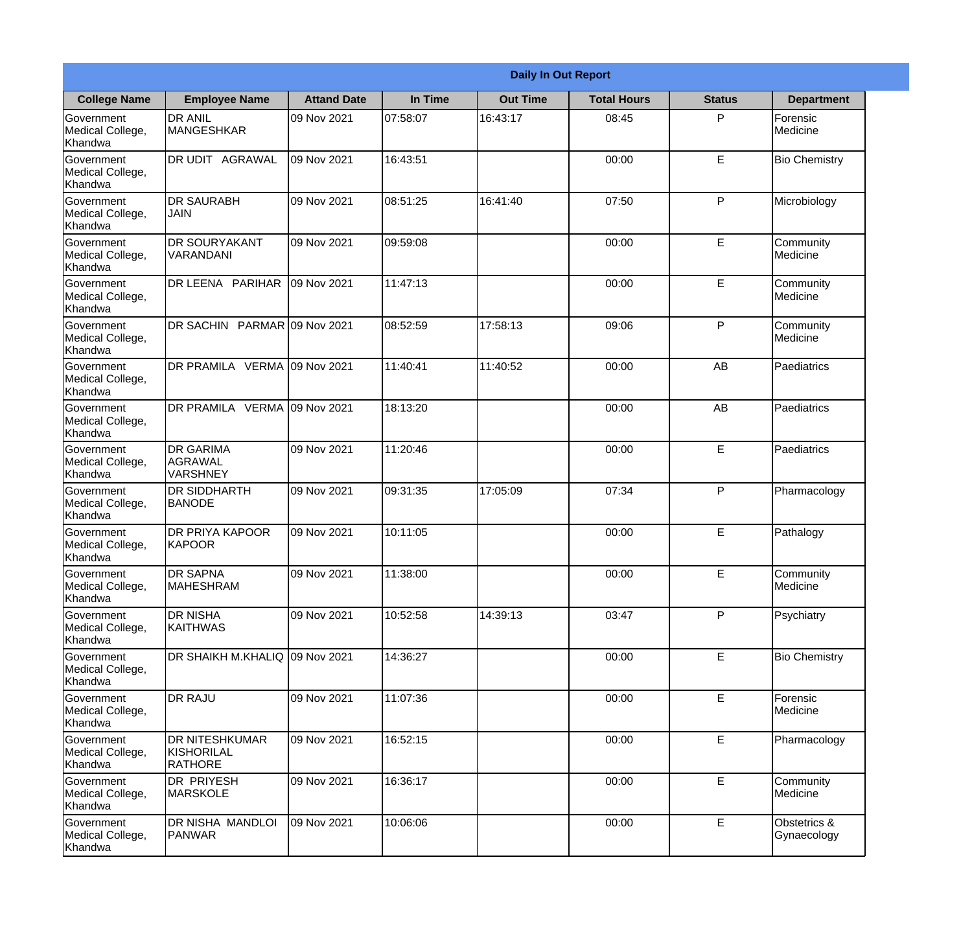|                                           |                                                |                    | <b>Daily In Out Report</b> |                 |                    |               |                              |
|-------------------------------------------|------------------------------------------------|--------------------|----------------------------|-----------------|--------------------|---------------|------------------------------|
| <b>College Name</b>                       | <b>Employee Name</b>                           | <b>Attand Date</b> | In Time                    | <b>Out Time</b> | <b>Total Hours</b> | <b>Status</b> | <b>Department</b>            |
| Government<br>Medical College,<br>Khandwa | <b>DR ANIL</b><br>MANGESHKAR                   | 09 Nov 2021        | 07:58:07                   | 16:43:17        | 08:45              | P             | Forensic<br>Medicine         |
| Government<br>Medical College,<br>Khandwa | DR UDIT AGRAWAL                                | 09 Nov 2021        | 16:43:51                   |                 | 00:00              | E             | <b>Bio Chemistry</b>         |
| Government<br>Medical College,<br>Khandwa | <b>DR SAURABH</b><br>JAIN                      | 09 Nov 2021        | 08:51:25                   | 16:41:40        | 07:50              | P             | Microbiology                 |
| Government<br>Medical College,<br>Khandwa | <b>DR SOURYAKANT</b><br>VARANDANI              | 09 Nov 2021        | 09:59:08                   |                 | 00:00              | E             | Community<br>Medicine        |
| Government<br>Medical College,<br>Khandwa | DR LEENA PARIHAR                               | 09 Nov 2021        | 11:47:13                   |                 | 00:00              | E             | Community<br>Medicine        |
| Government<br>Medical College,<br>Khandwa | DR SACHIN PARMAR 09 Nov 2021                   |                    | 08:52:59                   | 17:58:13        | 09:06              | P             | Community<br><b>Medicine</b> |
| Government<br>Medical College,<br>Khandwa | DR PRAMILA VERMA 09 Nov 2021                   |                    | 11:40:41                   | 11:40:52        | 00:00              | AB            | Paediatrics                  |
| Government<br>Medical College,<br>Khandwa | DR PRAMILA VERMA 09 Nov 2021                   |                    | 18:13:20                   |                 | 00:00              | AB            | Paediatrics                  |
| Government<br>Medical College,<br>Khandwa | <b>DR GARIMA</b><br>AGRAWAL<br><b>VARSHNEY</b> | 09 Nov 2021        | 11:20:46                   |                 | 00:00              | E             | Paediatrics                  |
| Government<br>Medical College,<br>Khandwa | DR SIDDHARTH<br><b>BANODE</b>                  | 09 Nov 2021        | 09:31:35                   | 17:05:09        | 07:34              | P             | Pharmacology                 |
| Government<br>Medical College,<br>Khandwa | <b>DR PRIYA KAPOOR</b><br>KAPOOR               | 09 Nov 2021        | 10:11:05                   |                 | 00:00              | E             | Pathalogy                    |
| Government<br>Medical College,<br>Khandwa | <b>DR SAPNA</b><br><b>MAHESHRAM</b>            | 09 Nov 2021        | 11:38:00                   |                 | 00:00              | E             | Community<br>Medicine        |
| Government<br>Medical College,<br>Khandwa | <b>DR NISHA</b><br><b>KAITHWAS</b>             | 09 Nov 2021        | 10:52:58                   | 14:39:13        | 03:47              | P             | Psychiatry                   |
| Government<br>Medical College,<br>Khandwa | DR SHAIKH M.KHALIQ                             | 09 Nov 2021        | 14:36:27                   |                 | 00:00              | $\mathsf E$   | <b>Bio Chemistry</b>         |
| Government<br>Medical College,<br>Khandwa | <b>DR RAJU</b>                                 | 09 Nov 2021        | 11:07:36                   |                 | 00:00              | E             | Forensic<br>Medicine         |
| Government<br>Medical College,<br>Khandwa | DR NITESHKUMAR<br>KISHORILAL<br><b>RATHORE</b> | 09 Nov 2021        | 16:52:15                   |                 | 00:00              | $\mathsf E$   | Pharmacology                 |
| Government<br>Medical College,<br>Khandwa | <b>DR PRIYESH</b><br><b>MARSKOLE</b>           | 09 Nov 2021        | 16:36:17                   |                 | 00:00              | E             | Community<br>Medicine        |
| Government<br>Medical College,<br>Khandwa | DR NISHA MANDLOI<br>PANWAR                     | 09 Nov 2021        | 10:06:06                   |                 | 00:00              | $\mathsf E$   | Obstetrics &<br>Gynaecology  |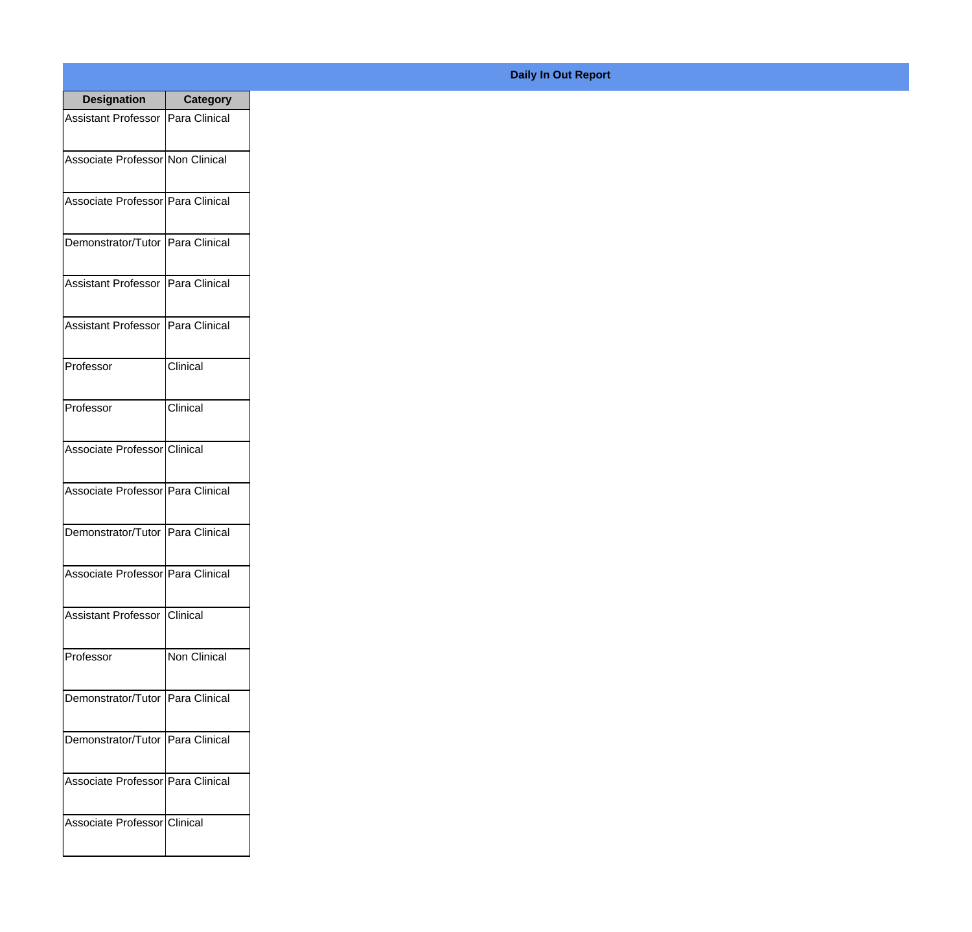| <b>Designation</b>                  | <b>Category</b>      |
|-------------------------------------|----------------------|
| Assistant Professor   Para Clinical |                      |
| Associate Professor Non Clinical    |                      |
| Associate Professor Para Clinical   |                      |
| Demonstrator/Tutor                  | Para Clinical        |
| <b>Assistant Professor</b>          | Para Clinical        |
| <b>Assistant Professor</b>          | Para Clinical        |
| Professor                           | Clinical             |
| Professor                           | Clinical             |
| Associate Professor Clinical        |                      |
| Associate Professor Para Clinical   |                      |
| Demonstrator/Tutor                  | Para Clinical        |
| Associate Professor   Para Clinical |                      |
| Assistant Professor   Clinical      |                      |
| Professor                           | Non Clinical         |
| Demonstrator/Tutor   Para Clinical  |                      |
| Demonstrator/Tutor                  | <b>Para Clinical</b> |
| Associate Professor   Para Clinical |                      |
| Associate Professor Clinical        |                      |

## **Daily In Out Report**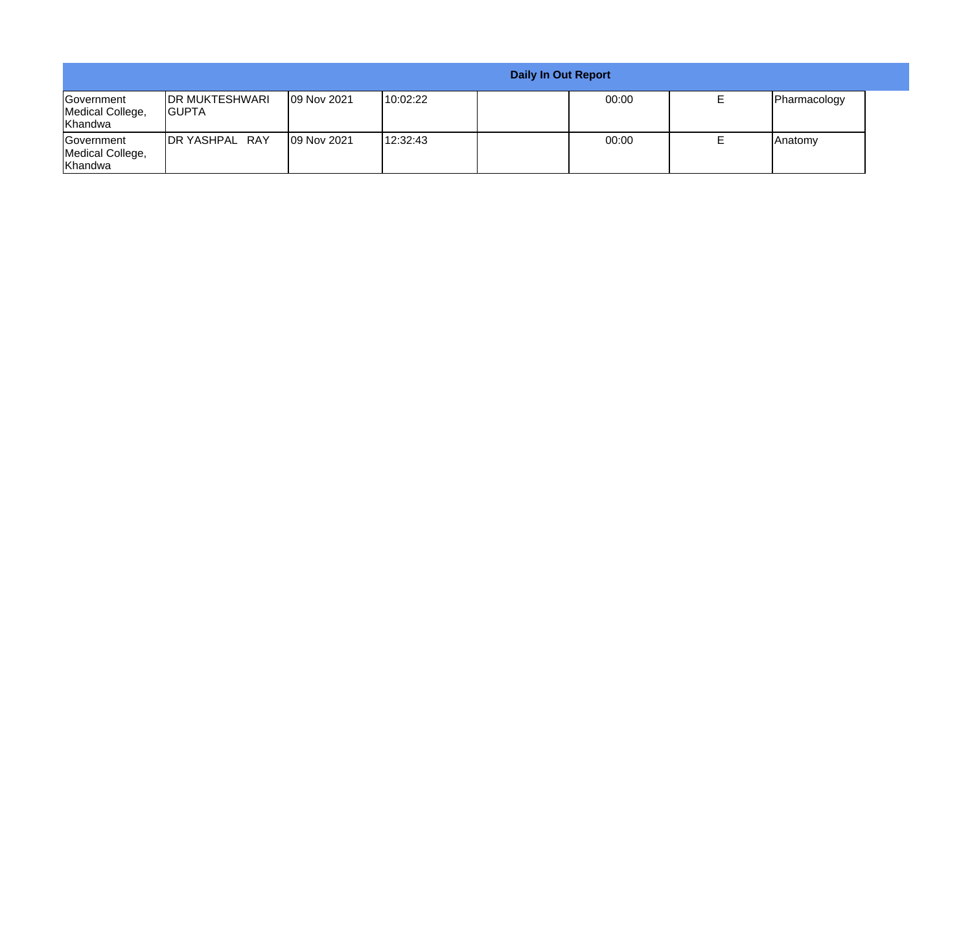|                                                  |                                         |                    |           | <b>Daily In Out Report</b> |       |                |  |
|--------------------------------------------------|-----------------------------------------|--------------------|-----------|----------------------------|-------|----------------|--|
| <b>Government</b><br>Medical College,<br>Khandwa | <b>IDR MUKTESHWARI</b><br><b>IGUPTA</b> | <b>09 Nov 2021</b> | 10:02:22  |                            | 00:00 | Pharmacology   |  |
| <b>Government</b><br>Medical College,<br>Khandwa | <b>IDR YASHPAL RAY</b>                  | <b>09 Nov 2021</b> | 112:32:43 |                            | 00:00 | <b>Anatomy</b> |  |